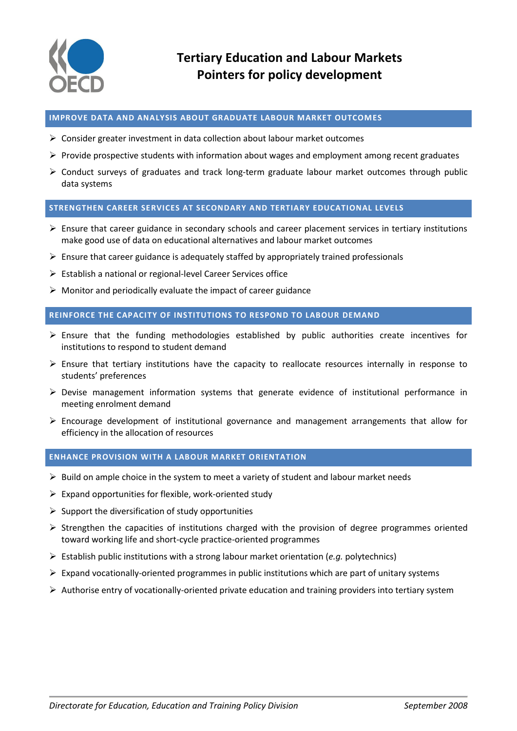

### **IMPROVE DATA AND ANALYSIS ABOUT GRADUATE LABOUR MARKET OUTCOMES**

- $\triangleright$  Consider greater investment in data collection about labour market outcomes
- $\triangleright$  Provide prospective students with information about wages and employment among recent graduates
- $\triangleright$  Conduct surveys of graduates and track long-term graduate labour market outcomes through public data systems

# **STRENGTHEN CAREER SERVICES AT SECONDARY AND TERTIARY EDUCATIONAL LEVELS**

- $\triangleright$  Ensure that career guidance in secondary schools and career placement services in tertiary institutions make good use of data on educational alternatives and labour market outcomes
- $\triangleright$  Ensure that career guidance is adequately staffed by appropriately trained professionals
- Establish a national or regional-level Career Services office
- $\triangleright$  Monitor and periodically evaluate the impact of career guidance

# **REINFORCE THE CAPACITY OF INSTITUTIONS TO RESPOND TO LABOUR DEMAND**

- Ensure that the funding methodologies established by public authorities create incentives for institutions to respond to student demand
- $\triangleright$  Ensure that tertiary institutions have the capacity to reallocate resources internally in response to students' preferences
- $\triangleright$  Devise management information systems that generate evidence of institutional performance in meeting enrolment demand
- $\triangleright$  Encourage development of institutional governance and management arrangements that allow for efficiency in the allocation of resources

### **ENHANCE PROVISION WITH A LABOUR MARKET ORIENTATION**

- $\triangleright$  Build on ample choice in the system to meet a variety of student and labour market needs
- $\triangleright$  Expand opportunities for flexible, work-oriented study
- $\triangleright$  Support the diversification of study opportunities
- $\triangleright$  Strengthen the capacities of institutions charged with the provision of degree programmes oriented toward working life and short-cycle practice-oriented programmes
- Establish public institutions with a strong labour market orientation (*e.g.* polytechnics)
- $\triangleright$  Expand vocationally-oriented programmes in public institutions which are part of unitary systems
- $\triangleright$  Authorise entry of vocationally-oriented private education and training providers into tertiary system